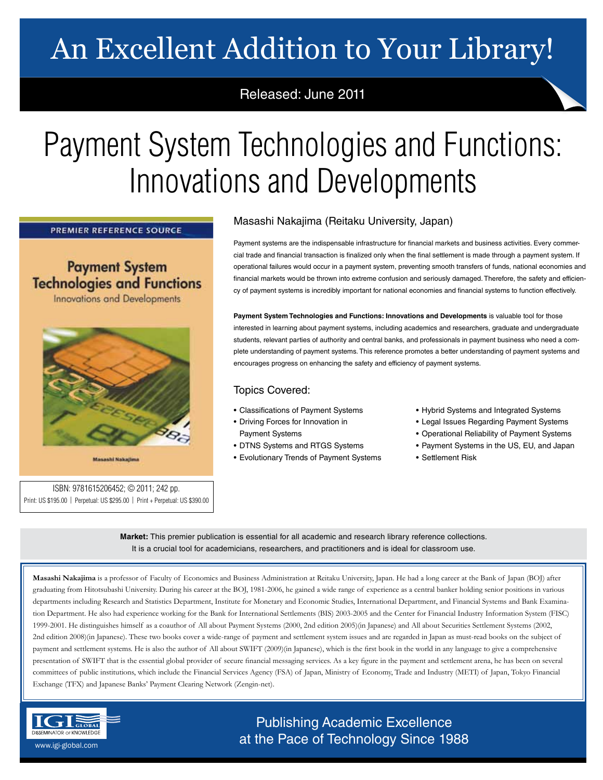# An Excellent Addition to Your Library!

### Released: June 2011

# Payment System Technologies and Functions: Innovations and Developments

PREMIER REFERENCE SOURCE

**Payment System Technologies and Functions** 

**Innovations and Developments** 



**Massachi Nabalin** 

ISBN: 9781615206452; © 2011; 242 pp. Print: US \$195.00 | Perpetual: US \$295.00 | Print + Perpetual: US \$390.00

### Masashi Nakajima (Reitaku University, Japan)

Payment systems are the indispensable infrastructure for financial markets and business activities. Every commercial trade and financial transaction is finalized only when the final settlement is made through a payment system. If operational failures would occur in a payment system, preventing smooth transfers of funds, national economies and financial markets would be thrown into extreme confusion and seriously damaged. Therefore, the safety and efficiency of payment systems is incredibly important for national economies and financial systems to function effectively.

**Payment System Technologies and Functions: Innovations and Developments** is valuable tool for those interested in learning about payment systems, including academics and researchers, graduate and undergraduate students, relevant parties of authority and central banks, and professionals in payment business who need a complete understanding of payment systems. This reference promotes a better understanding of payment systems and encourages progress on enhancing the safety and efficiency of payment systems.

#### Topics Covered:

- Classifications of Payment Systems
- Driving Forces for Innovation in Payment Systems
- DTNS Systems and RTGS Systems
- Evolutionary Trends of Payment Systems
- Hybrid Systems and Integrated Systems
- Legal Issues Regarding Payment Systems
- Operational Reliability of Payment Systems
- Payment Systems in the US, EU, and Japan
- Settlement Risk

**Market:** This premier publication is essential for all academic and research library reference collections. It is a crucial tool for academicians, researchers, and practitioners and is ideal for classroom use.

**Masashi Nakajima** is a professor of Faculty of Economics and Business Administration at Reitaku University, Japan. He had a long career at the Bank of Japan (BOJ) after graduating from Hitotsubashi University. During his career at the BOJ, 1981-2006, he gained a wide range of experience as a central banker holding senior positions in various departments including Research and Statistics Department, Institute for Monetary and Economic Studies, International Department, and Financial Systems and Bank Examination Department. He also had experience working for the Bank for International Settlements (BIS) 2003-2005 and the Center for Financial Industry Information System (FISC) 1999-2001. He distinguishes himself as a coauthor of All about Payment Systems (2000, 2nd edition 2005)(in Japanese) and All about Securities Settlement Systems (2002, 2nd edition 2008)(in Japanese). These two books cover a wide-range of payment and settlement system issues and are regarded in Japan as must-read books on the subject of payment and settlement systems. He is also the author of All about SWIFT (2009)(in Japanese), which is the first book in the world in any language to give a comprehensive presentation of SWIFT that is the essential global provider of secure financial messaging services. As a key figure in the payment and settlement arena, he has been on several committees of public institutions, which include the Financial Services Agency (FSA) of Japan, Ministry of Economy, Trade and Industry (METI) of Japan, Tokyo Financial Exchange (TFX) and Japanese Banks' Payment Clearing Network (Zengin-net).



## Publishing Academic Excellence **ORSEMINATOR OF KNOWLEDGE** WEIGHT AND THE PACE Of Technology Since 1988